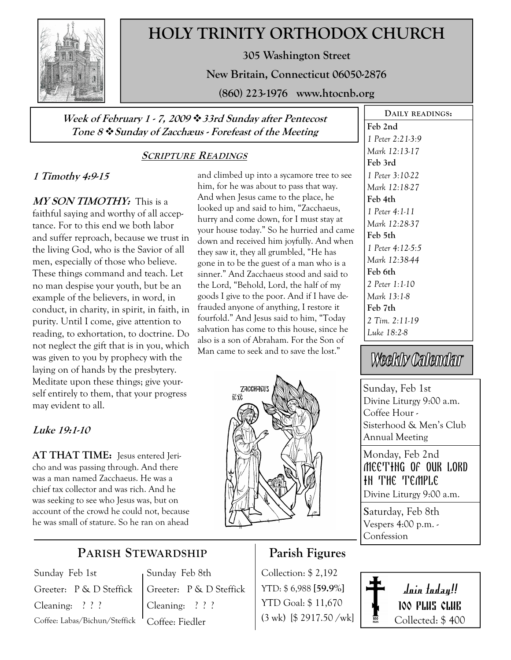

# HOLY TRINITY ORTHODOX CHURCH

305 Washington Street

New Britain, Connecticut 06050-2876

(860) 223-1976 www.htocnb.org

and climbed up into a sycamore tree to see him, for he was about to pass that way. And when Jesus came to the place, he looked up and said to him, "Zacchaeus, hurry and come down, for I must stay at your house today." So he hurried and came down and received him joyfully. And when they saw it, they all grumbled, "He has gone in to be the guest of a man who is a sinner." And Zacchaeus stood and said to the Lord, "Behold, Lord, the half of my goods I give to the poor. And if I have defrauded anyone of anything, I restore it fourfold." And Jesus said to him, "Today salvation has come to this house, since he also is a son of Abraham. For the Son of Man came to seek and to save the lost."

### Week of February 1 - 7, 2009  $\cdot$  33rd Sunday after Pentecost Tone 8  $\div$  Sunday of Zacchæus - Forefeast of the Meeting

## SCRIPTURE READINGS

## 1 Timothy 4:9-15

MY SON TIMOTHY: This is a faithful saying and worthy of all acceptance. For to this end we both labor and suffer reproach, because we trust in the living God, who is the Savior of all men, especially of those who believe. These things command and teach. Let no man despise your youth, but be an example of the believers, in word, in conduct, in charity, in spirit, in faith, in purity. Until I come, give attention to reading, to exhortation, to doctrine. Do not neglect the gift that is in you, which was given to you by prophecy with the laying on of hands by the presbytery. Meditate upon these things; give yourself entirely to them, that your progress may evident to all.

## Luke 19:1-10

AT THAT TIME: Jesus entered Jericho and was passing through. And there was a man named Zacchaeus. He was a chief tax collector and was rich. And he was seeking to see who Jesus was, but on account of the crowd he could not, because he was small of stature. So he ran on ahead

## PARISH STEWARDSHIP

Sunday Feb 1st Greeter: P & D Steffick Cleaning: ? ? ? Coffee: Labas/Bichun/Steffick Sunday Feb 8th Greeter: P & D Steffick Cleaning: ? ? ? Coffee: Fiedler

## Parish Figures

Collection: \$ 2,192 YTD: \$ 6,988 [59.9%] YTD Goal: \$ 11,670 (3 wk) [\$ 2917.50 /wk]



DAILY READINGS:

Feb 2nd

1 Peter 2:21-3:9 Mark 12:13-17 Feb 3rd

Sunday, Feb 1st Divine Liturgy 9:00 a.m. Coffee Hour - Sisterhood & Men's Club Annual Meeting

Monday, Feb 2nd Meeting of our lord IN THE TEMPLE Divine Liturgy 9:00 a.m.

Saturday, Feb 8th

Vespers 4:00 p.m. - Confession